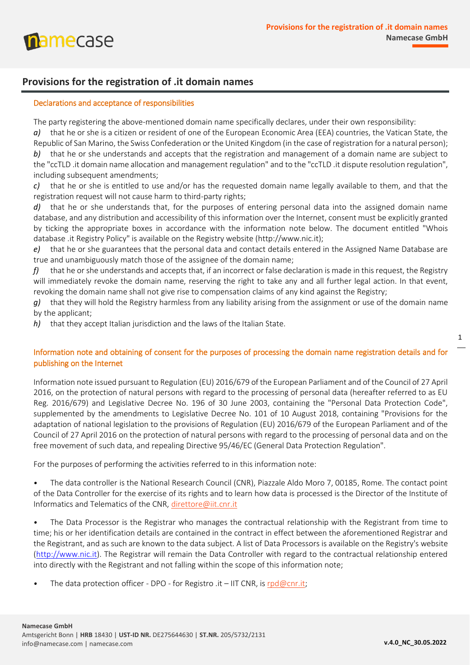

# **Provisions for the registration of .it domain names**

#### Declarations and acceptance of responsibilities

**namecase** 

The party registering the above-mentioned domain name specifically declares, under their own responsibility:

*a)* that he or she is a citizen or resident of one of the European Economic Area (EEA) countries, the Vatican State, the Republic of San Marino, the Swiss Confederation or the United Kingdom (in the case of registration for a natural person); *b)* that he or she understands and accepts that the registration and management of a domain name are subject to the "ccTLD .it domain name allocation and management regulation" and to the "ccTLD .it dispute resolution regulation", including subsequent amendments;

*c)* that he or she is entitled to use and/or has the requested domain name legally available to them, and that the registration request will not cause harm to third-party rights;

*d)* that he or she understands that, for the purposes of entering personal data into the assigned domain name database, and any distribution and accessibility of this information over the Internet, consent must be explicitly granted by ticking the appropriate boxes in accordance with the information note below. The document entitled "Whois database .it Registry Policy" is available on the Registry website (http://www.nic.it);

*e)* that he or she guarantees that the personal data and contact details entered in the Assigned Name Database are true and unambiguously match those of the assignee of the domain name;

*f)* that he or she understands and accepts that, if an incorrect or false declaration is made in this request, the Registry will immediately revoke the domain name, reserving the right to take any and all further legal action. In that event, revoking the domain name shall not give rise to compensation claims of any kind against the Registry;

*g)* that they will hold the Registry harmless from any liability arising from the assignment or use of the domain name by the applicant;

*h)* that they accept Italian jurisdiction and the laws of the Italian State.

## Information note and obtaining of consent for the purposes of processing the domain name registration details and for publishing on the Internet

Information note issued pursuant to Regulation (EU) 2016/679 of the European Parliament and of the Council of 27 April 2016, on the protection of natural persons with regard to the processing of personal data (hereafter referred to as EU Reg. 2016/679) and Legislative Decree No. 196 of 30 June 2003, containing the "Personal Data Protection Code", supplemented by the amendments to Legislative Decree No. 101 of 10 August 2018, containing "Provisions for the adaptation of national legislation to the provisions of Regulation (EU) 2016/679 of the European Parliament and of the Council of 27 April 2016 on the protection of natural persons with regard to the processing of personal data and on the free movement of such data, and repealing Directive 95/46/EC (General Data Protection Regulation".

For the purposes of performing the activities referred to in this information note:

*•* The data controller is the National Research Council (CNR), Piazzale Aldo Moro 7, 00185, Rome. The contact point of the Data Controller for the exercise of its rights and to learn how data is processed is the Director of the Institute of Informatics and Telematics of the CNR, [direttore@iit.cnr.it](mailto:direttore@iit.cnr.it)

*•* The Data Processor is the Registrar who manages the contractual relationship with the Registrant from time to time; his or her identification details are contained in the contract in effect between the aforementioned Registrar and the Registrant, and as such are known to the data subject. A list of Data Processors is available on the Registry's website [\(http://www.nic.it\)](http://www.nic.it/). The Registrar will remain the Data Controller with regard to the contractual relationship entered into directly with the Registrant and not falling within the scope of this information note;

The data protection officer - DPO - for Registro .it – IIT CNR, is [rpd@cnr.it;](mailto:rpd@cnr.it)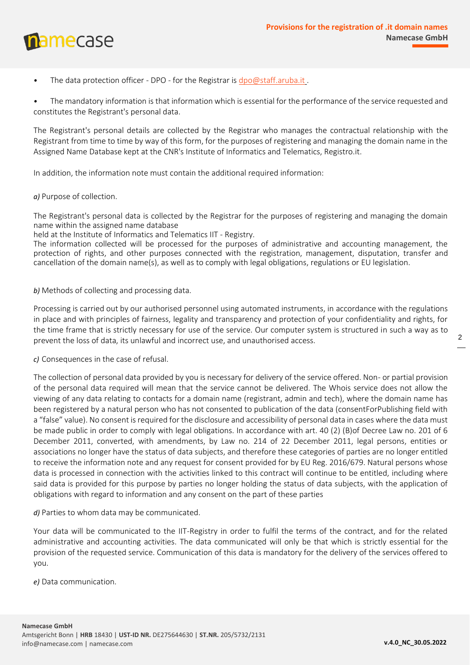

• The data protection officer - DPO - for the Registrar is [dpo@staff.aruba.it](mailto:dpo@staff.aruba.it)[.](mailto:dpo@staff.aruba.it)

*•* The mandatory information is that information which is essential for the performance of the service requested and constitutes the Registrant's personal data.

The Registrant's personal details are collected by the Registrar who manages the contractual relationship with the Registrant from time to time by way of this form, for the purposes of registering and managing the domain name in the Assigned Name Database kept at the CNR's Institute of Informatics and Telematics, Registro.it.

In addition, the information note must contain the additional required information:

*a)* Purpose of collection.

The Registrant's personal data is collected by the Registrar for the purposes of registering and managing the domain name within the assigned name database

held at the Institute of Informatics and Telematics IIT - Registry.

The information collected will be processed for the purposes of administrative and accounting management, the protection of rights, and other purposes connected with the registration, management, disputation, transfer and cancellation of the domain name(s), as well as to comply with legal obligations, regulations or EU legislation.

*b)* Methods of collecting and processing data.

Processing is carried out by our authorised personnel using automated instruments, in accordance with the regulations in place and with principles of fairness, legality and transparency and protection of your confidentiality and rights, for the time frame that is strictly necessary for use of the service. Our computer system is structured in such a way as to prevent the loss of data, its unlawful and incorrect use, and unauthorised access.

*c)* Consequences in the case of refusal.

The collection of personal data provided by you is necessary for delivery of the service offered. Non- or partial provision of the personal data required will mean that the service cannot be delivered. The Whois service does not allow the viewing of any data relating to contacts for a domain name (registrant, admin and tech), where the domain name has been registered by a natural person who has not consented to publication of the data (consentForPublishing field with a "false" value). No consent is required for the disclosure and accessibility of personal data in cases where the data must be made public in order to comply with legal obligations. In accordance with art. 40 (2) (B)of Decree Law no. 201 of 6 December 2011, converted, with amendments, by Law no. 214 of 22 December 2011, legal persons, entities or associations no longer have the status of data subjects, and therefore these categories of parties are no longer entitled to receive the information note and any request for consent provided for by EU Reg. 2016/679. Natural persons whose data is processed in connection with the activities linked to this contract will continue to be entitled, including where said data is provided for this purpose by parties no longer holding the status of data subjects, with the application of obligations with regard to information and any consent on the part of these parties

*d)* Parties to whom data may be communicated.

Your data will be communicated to the IIT-Registry in order to fulfil the terms of the contract, and for the related administrative and accounting activities. The data communicated will only be that which is strictly essential for the provision of the requested service. Communication of this data is mandatory for the delivery of the services offered to you.

*e)* Data communication.

2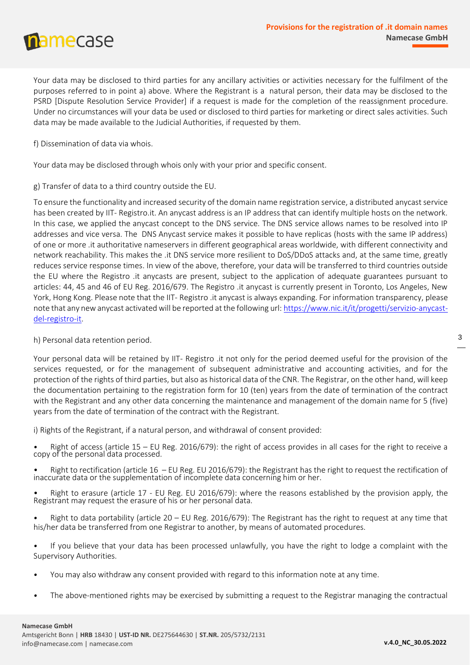mamecase

Your data may be disclosed to third parties for any ancillary activities or activities necessary for the fulfilment of the purposes referred to in point a) above. Where the Registrant is a natural person, their data may be disclosed to the PSRD [Dispute Resolution Service Provider] if a request is made for the completion of the reassignment procedure. Under no circumstances will your data be used or disclosed to third parties for marketing or direct sales activities. Such data may be made available to the Judicial Authorities, if requested by them.

f) Dissemination of data via whois.

Your data may be disclosed through whois only with your prior and specific consent.

g) Transfer of data to a third country outside the EU.

To ensure the functionality and increased security of the domain name registration service, a distributed anycast service has been created by IIT- Registro.it. An anycast address is an IP address that can identify multiple hosts on the network. In this case, we applied the anycast concept to the DNS service. The DNS service allows names to be resolved into IP addresses and vice versa. The DNS Anycast service makes it possible to have replicas (hosts with the same IP address) of one or more .it authoritative nameservers in different geographical areas worldwide, with different connectivity and network reachability. This makes the .it DNS service more resilient to DoS/DDoS attacks and, at the same time, greatly reduces service response times. In view of the above, therefore, your data will be transferred to third countries outside the EU where the Registro .it anycasts are present, subject to the application of adequate guarantees pursuant to articles: 44, 45 and 46 of EU Reg. 2016/679. The Registro .it anycast is currently present in Toronto, Los Angeles, New York, Hong Kong. Please note that the IIT- Registro .it anycast is always expanding. For information transparency, please note that any new anycast activated will be reported at the following url: [https://www.nic.it/it/progetti/servizio-anycast](https://www.nic.it/it/progetti/servizio-anycast-del-registro-it)[del-registro-it.](https://www.nic.it/it/progetti/servizio-anycast-del-registro-it)

h) Personal data retention period.

Your personal data will be retained by IIT- Registro .it not only for the period deemed useful for the provision of the services requested, or for the management of subsequent administrative and accounting activities, and for the protection of the rights of third parties, but also as historical data of the CNR. The Registrar, on the other hand, will keep the documentation pertaining to the registration form for 10 (ten) years from the date of termination of the contract with the Registrant and any other data concerning the maintenance and management of the domain name for 5 (five) years from the date of termination of the contract with the Registrant.

i) Rights of the Registrant, if a natural person, and withdrawal of consent provided:

*•* Right of access (article 15 – EU Reg. 2016/679): the right of access provides in all cases for the right to receive a copy of the personal data processed.

Right to rectification (article  $16$  – EU Reg. EU 2016/679): the Registrant has the right to request the rectification of inaccurate data or the supplementation of incomplete data concerning him or her.

• Right to erasure (article 17 - EU Reg. EU 2016/679): where the reasons established by the provision apply, the Registrant may request the erasure of his or her personal data.

*•* Right to data portability (article 20 – EU Reg. 2016/679): The Registrant has the right to request at any time that his/her data be transferred from one Registrar to another, by means of automated procedures.

*•* If you believe that your data has been processed unlawfully, you have the right to lodge a complaint with the Supervisory Authorities.

- *•* You may also withdraw any consent provided with regard to this information note at any time.
- *•* The above-mentioned rights may be exercised by submitting a request to the Registrar managing the contractual